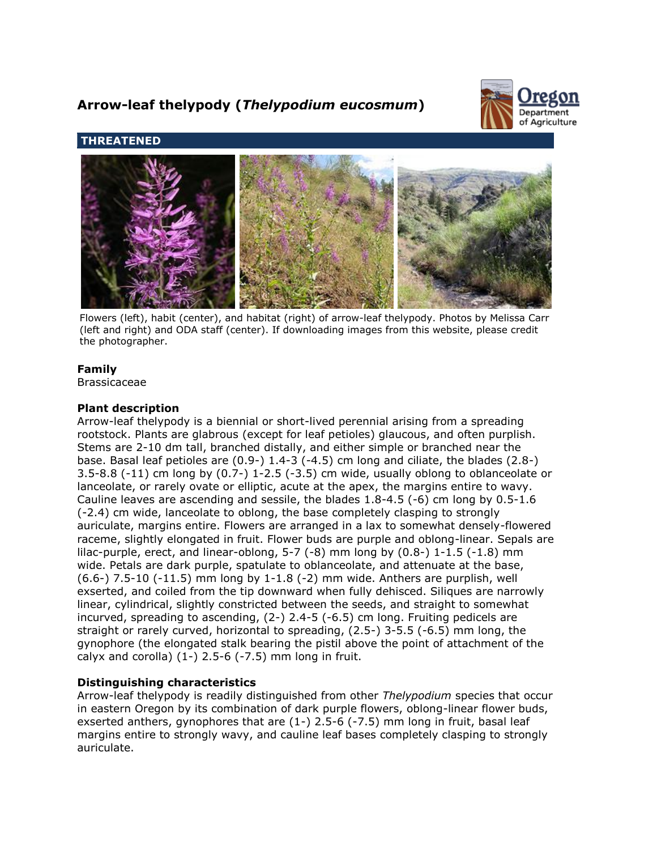# **Arrow-leaf thelypody (***Thelypodium eucosmum***)**



# **THREATENED**



Flowers (left), habit (center), and habitat (right) of arrow-leaf thelypody. Photos by Melissa Carr (left and right) and ODA staff (center). If downloading images from this website, please credit the photographer.

# **Family**

Brassicaceae

# **Plant description**

Arrow-leaf thelypody is a biennial or short-lived perennial arising from a spreading rootstock. Plants are glabrous (except for leaf petioles) glaucous, and often purplish. Stems are 2-10 dm tall, branched distally, and either simple or branched near the base. Basal leaf petioles are (0.9-) 1.4-3 (-4.5) cm long and ciliate, the blades (2.8-) 3.5-8.8 (-11) cm long by (0.7-) 1-2.5 (-3.5) cm wide, usually oblong to oblanceolate or lanceolate, or rarely ovate or elliptic, acute at the apex, the margins entire to wavy. Cauline leaves are ascending and sessile, the blades 1.8-4.5 (-6) cm long by 0.5-1.6 (-2.4) cm wide, lanceolate to oblong, the base completely clasping to strongly auriculate, margins entire. Flowers are arranged in a lax to somewhat densely-flowered raceme, slightly elongated in fruit. Flower buds are purple and oblong-linear. Sepals are lilac-purple, erect, and linear-oblong,  $5-7$  (-8) mm long by  $(0.8-)$  1-1.5 (-1.8) mm wide. Petals are dark purple, spatulate to oblanceolate, and attenuate at the base, (6.6-) 7.5-10 (-11.5) mm long by 1-1.8 (-2) mm wide. Anthers are purplish, well exserted, and coiled from the tip downward when fully dehisced. Siliques are narrowly linear, cylindrical, slightly constricted between the seeds, and straight to somewhat incurved, spreading to ascending, (2-) 2.4-5 (-6.5) cm long. Fruiting pedicels are straight or rarely curved, horizontal to spreading, (2.5-) 3-5.5 (-6.5) mm long, the gynophore (the elongated stalk bearing the pistil above the point of attachment of the calyx and corolla)  $(1-)$  2.5-6  $(-7.5)$  mm long in fruit.

# **Distinguishing characteristics**

Arrow-leaf thelypody is readily distinguished from other *Thelypodium* species that occur in eastern Oregon by its combination of dark purple flowers, oblong-linear flower buds, exserted anthers, gynophores that are (1-) 2.5-6 (-7.5) mm long in fruit, basal leaf margins entire to strongly wavy, and cauline leaf bases completely clasping to strongly auriculate.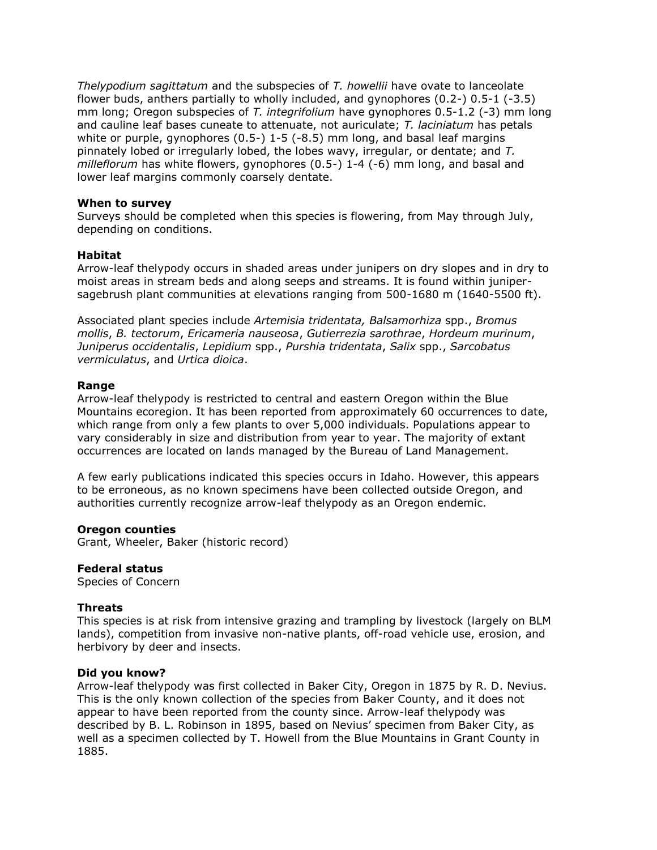*Thelypodium sagittatum* and the subspecies of *T. howellii* have ovate to lanceolate flower buds, anthers partially to wholly included, and gynophores (0.2-) 0.5-1 (-3.5) mm long; Oregon subspecies of *T. integrifolium* have gynophores 0.5-1.2 (-3) mm long and cauline leaf bases cuneate to attenuate, not auriculate; *T. laciniatum* has petals white or purple, gynophores (0.5-) 1-5 (-8.5) mm long, and basal leaf margins pinnately lobed or irregularly lobed, the lobes wavy, irregular, or dentate; and *T. milleflorum* has white flowers, gynophores (0.5-) 1-4 (-6) mm long, and basal and lower leaf margins commonly coarsely dentate.

### **When to survey**

Surveys should be completed when this species is flowering, from May through July, depending on conditions.

#### **Habitat**

Arrow-leaf thelypody occurs in shaded areas under junipers on dry slopes and in dry to moist areas in stream beds and along seeps and streams. It is found within junipersagebrush plant communities at elevations ranging from 500-1680 m (1640-5500 ft).

Associated plant species include *Artemisia tridentata, Balsamorhiza* spp., *Bromus mollis*, *B. tectorum*, *Ericameria nauseosa*, *Gutierrezia sarothrae*, *Hordeum murinum*, *Juniperus occidentalis*, *Lepidium* spp., *Purshia tridentata*, *Salix* spp., *Sarcobatus vermiculatus*, and *Urtica dioica*.

#### **Range**

Arrow-leaf thelypody is restricted to central and eastern Oregon within the Blue Mountains ecoregion. It has been reported from approximately 60 occurrences to date, which range from only a few plants to over 5,000 individuals. Populations appear to vary considerably in size and distribution from year to year. The majority of extant occurrences are located on lands managed by the Bureau of Land Management.

A few early publications indicated this species occurs in Idaho. However, this appears to be erroneous, as no known specimens have been collected outside Oregon, and authorities currently recognize arrow-leaf thelypody as an Oregon endemic.

### **Oregon counties**

Grant, Wheeler, Baker (historic record)

## **Federal status**

Species of Concern

### **Threats**

This species is at risk from intensive grazing and trampling by livestock (largely on BLM lands), competition from invasive non-native plants, off-road vehicle use, erosion, and herbivory by deer and insects.

#### **Did you know?**

Arrow-leaf thelypody was first collected in Baker City, Oregon in 1875 by R. D. Nevius. This is the only known collection of the species from Baker County, and it does not appear to have been reported from the county since. Arrow-leaf thelypody was described by B. L. Robinson in 1895, based on Nevius' specimen from Baker City, as well as a specimen collected by T. Howell from the Blue Mountains in Grant County in 1885.